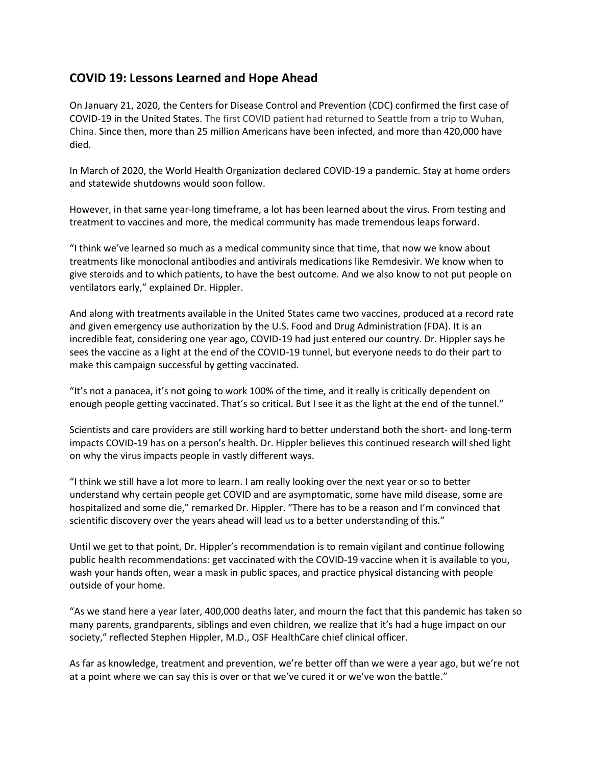## **COVID 19: Lessons Learned and Hope Ahead**

On January 21, 2020, the Centers for Disease Control and Prevention (CDC) confirmed the first case of COVID-19 in the United States. The first COVID patient had returned to Seattle from a trip to Wuhan, China. Since then, more than 25 million Americans have been infected, and more than 420,000 have died.

In March of 2020, the World Health Organization declared COVID-19 a pandemic. Stay at home orders and statewide shutdowns would soon follow.

However, in that same year-long timeframe, a lot has been learned about the virus. From testing and treatment to vaccines and more, the medical community has made tremendous leaps forward.

"I think we've learned so much as a medical community since that time, that now we know about treatments like monoclonal antibodies and antivirals medications like Remdesivir. We know when to give steroids and to which patients, to have the best outcome. And we also know to not put people on ventilators early," explained Dr. Hippler.

And along with treatments available in the United States came two vaccines, produced at a record rate and given emergency use authorization by the U.S. Food and Drug Administration (FDA). It is an incredible feat, considering one year ago, COVID-19 had just entered our country. Dr. Hippler says he sees the vaccine as a light at the end of the COVID-19 tunnel, but everyone needs to do their part to make this campaign successful by getting vaccinated.

"It's not a panacea, it's not going to work 100% of the time, and it really is critically dependent on enough people getting vaccinated. That's so critical. But I see it as the light at the end of the tunnel."

Scientists and care providers are still working hard to better understand both the short- and long-term impacts COVID-19 has on a person's health. Dr. Hippler believes this continued research will shed light on why the virus impacts people in vastly different ways.

"I think we still have a lot more to learn. I am really looking over the next year or so to better understand why certain people get COVID and are asymptomatic, some have mild disease, some are hospitalized and some die," remarked Dr. Hippler. "There has to be a reason and I'm convinced that scientific discovery over the years ahead will lead us to a better understanding of this."

Until we get to that point, Dr. Hippler's recommendation is to remain vigilant and continue following public health recommendations: get vaccinated with the COVID-19 vaccine when it is available to you, wash your hands often, wear a mask in public spaces, and practice physical distancing with people outside of your home.

"As we stand here a year later, 400,000 deaths later, and mourn the fact that this pandemic has taken so many parents, grandparents, siblings and even children, we realize that it's had a huge impact on our society," reflected Stephen Hippler, M.D., OSF HealthCare chief clinical officer.

As far as knowledge, treatment and prevention, we're better off than we were a year ago, but we're not at a point where we can say this is over or that we've cured it or we've won the battle."